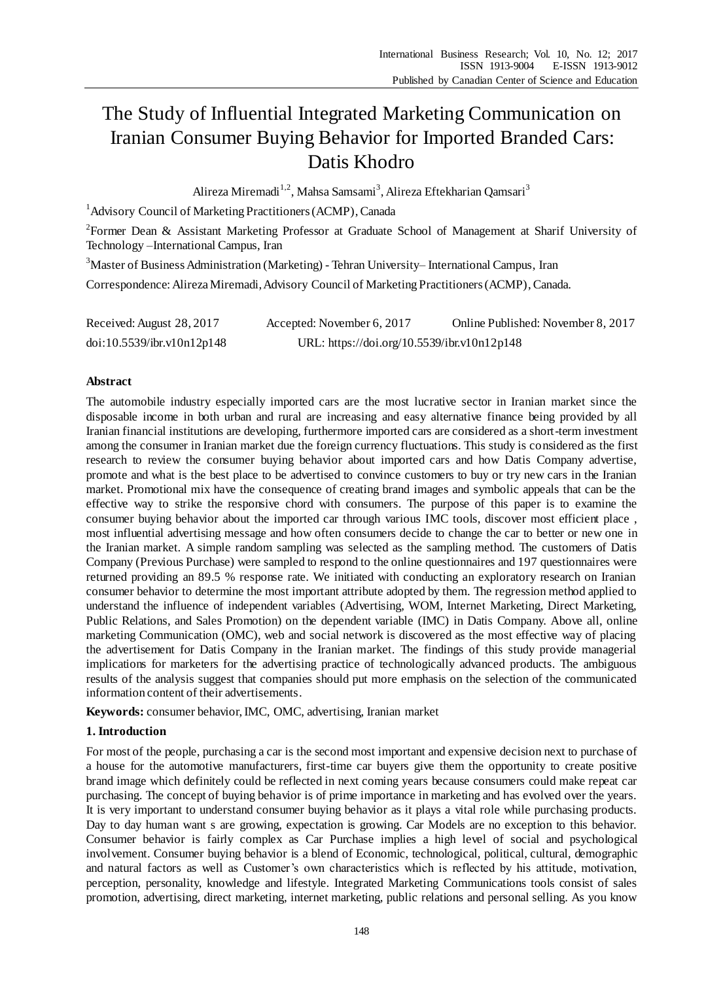# The Study of Influential Integrated Marketing Communication on Iranian Consumer Buying Behavior for Imported Branded Cars: Datis Khodro

Alireza Miremadi<sup>1,2</sup>, Mahsa Samsami<sup>3</sup>, Alireza Eftekharian Qamsari<sup>3</sup>

<sup>1</sup> Advisory Council of Marketing Practitioners (ACMP), Canada

<sup>2</sup>Former Dean & Assistant Marketing Professor at Graduate School of Management at Sharif University of Technology –International Campus, Iran

<sup>3</sup>Master of Business Administration (Marketing) - Tehran University– International Campus, Iran

Correspondence: Alireza Miremadi, Advisory Council of Marketing Practitioners (ACMP), Canada.

| Received: August 28, 2017  | Accepted: November 6, 2017                  | Online Published: November 8, 2017 |
|----------------------------|---------------------------------------------|------------------------------------|
| doi:10.5539/ibr.v10n12p148 | URL: https://doi.org/10.5539/ibr.v10n12p148 |                                    |

# **Abstract**

The automobile industry especially imported cars are the most lucrative sector in Iranian market since the disposable income in both urban and rural are increasing and easy alternative finance being provided by all Iranian financial institutions are developing, furthermore imported cars are considered as a short-term investment among the consumer in Iranian market due the foreign currency fluctuations. This study is considered as the first research to review the consumer buying behavior about imported cars and how Datis Company advertise, promote and what is the best place to be advertised to convince customers to buy or try new cars in the Iranian market. Promotional mix have the consequence of creating brand images and symbolic appeals that can be the effective way to strike the responsive chord with consumers. The purpose of this paper is to examine the consumer buying behavior about the imported car through various IMC tools, discover most efficient place , most influential advertising message and how often consumers decide to change the car to better or new one in the Iranian market. A simple random sampling was selected as the sampling method. The customers of Datis Company (Previous Purchase) were sampled to respond to the online questionnaires and 197 questionnaires were returned providing an 89.5 % response rate. We initiated with conducting an exploratory research on Iranian consumer behavior to determine the most important attribute adopted by them. The regression method applied to understand the influence of independent variables (Advertising, WOM, Internet Marketing, Direct Marketing, Public Relations, and Sales Promotion) on the dependent variable (IMC) in Datis Company. Above all, online marketing Communication (OMC), web and social network is discovered as the most effective way of placing the advertisement for Datis Company in the Iranian market. The findings of this study provide managerial implications for marketers for the advertising practice of technologically advanced products. The ambiguous results of the analysis suggest that companies should put more emphasis on the selection of the communicated information content of their advertisements.

**Keywords:** consumer behavior, IMC, OMC, advertising, Iranian market

# **1. Introduction**

For most of the people, purchasing a car is the second most important and expensive decision next to purchase of a house for the automotive manufacturers, first-time car buyers give them the opportunity to create positive brand image which definitely could be reflected in next coming years because consumers could make repeat car purchasing. The concept of buying behavior is of prime importance in marketing and has evolved over the years. It is very important to understand consumer buying behavior as it plays a vital role while purchasing products. Day to day human want s are growing, expectation is growing. Car Models are no exception to this behavior. Consumer behavior is fairly complex as Car Purchase implies a high level of social and psychological involvement. Consumer buying behavior is a blend of Economic, technological, political, cultural, demographic and natural factors as well as Customer's own characteristics which is reflected by his attitude, motivation, perception, personality, knowledge and lifestyle. Integrated Marketing Communications tools consist of sales promotion, advertising, direct marketing, internet marketing, public relations and personal selling. As you know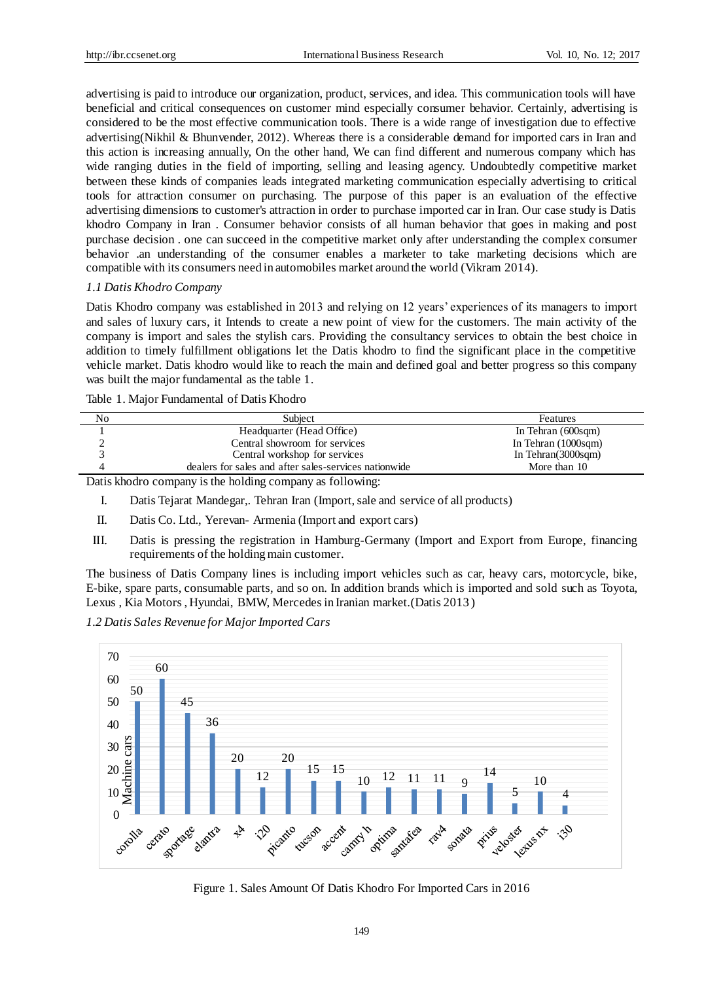advertising is paid to introduce our organization, product, services, and idea. This communication tools will have beneficial and critical consequences on customer mind especially consumer behavior. Certainly, advertising is considered to be the most effective communication tools. There is a wide range of investigation due to effective advertising(Nikhil & Bhunvender, 2012). Whereas there is a considerable demand for imported cars in Iran and this action is increasing annually, On the other hand, We can find different and numerous company which has wide ranging duties in the field of importing, selling and leasing agency. Undoubtedly competitive market between these kinds of companies leads integrated marketing communication especially advertising to critical tools for attraction consumer on purchasing. The purpose of this paper is an evaluation of the effective advertising dimensions to customer's attraction in order to purchase imported car in Iran. Our case study is Datis khodro Company in Iran . Consumer behavior consists of all human behavior that goes in making and post purchase decision . one can succeed in the competitive market only after understanding the complex consumer behavior .an understanding of the consumer enables a marketer to take marketing decisions which are compatible with its consumers need in automobiles market around the world (Vikram 2014).

## *1.1 Datis Khodro Company*

Datis Khodro company was established in 2013 and relying on 12 years' experiences of its managers to import and sales of luxury cars, it Intends to create a new point of view for the customers. The main activity of the company is import and sales the stylish cars. Providing the consultancy services to obtain the best choice in addition to timely fulfillment obligations let the Datis khodro to find the significant place in the competitive vehicle market. Datis khodro would like to reach the main and defined goal and better progress so this company was built the major fundamental as the table 1.

|  |  |  | Table 1. Major Fundamental of Datis Khodro |  |  |
|--|--|--|--------------------------------------------|--|--|
|--|--|--|--------------------------------------------|--|--|

| No | Subject                                               | <b>Features</b>              |
|----|-------------------------------------------------------|------------------------------|
|    | Headquarter (Head Office)                             | In Tehran (600sqm)           |
|    | Central showroom for services                         | In Tehran $(1000\text{sgm})$ |
|    | Central workshop for services                         | In Tehran $(3000\text{sgm})$ |
| 4  | dealers for sales and after sales-services nationwide | More than 10                 |
|    |                                                       |                              |

Datis khodro company is the holding company as following:

- I. Datis Tejarat Mandegar,. Tehran Iran (Import, sale and service of all products)
- II. Datis Co. Ltd., Yerevan- Armenia (Import and export cars)
- III. Datis is pressing the registration in Hamburg-Germany (Import and Export from Europe, financing requirements of the holding main customer.

The business of Datis Company lines is including import vehicles such as car, heavy cars, motorcycle, bike, E-bike, spare parts, consumable parts, and so on. In addition brands which is imported and sold such as Toyota, Lexus , Kia Motors , Hyundai, BMW, Mercedes in Iranian market.(Datis 2013 )





Figure 1. Sales Amount Of Datis Khodro For Imported Cars in 2016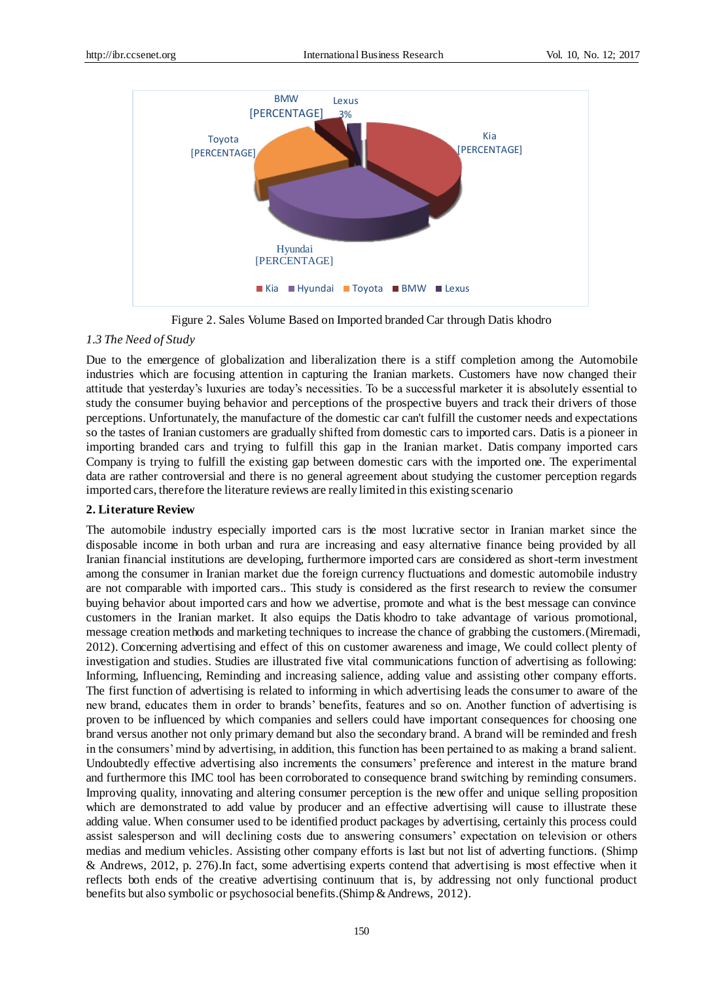

Figure 2. Sales Volume Based on Imported branded Car through Datis khodro

#### *1.3 The Need of Study*

Due to the emergence of globalization and liberalization there is a stiff completion among the Automobile industries which are focusing attention in capturing the Iranian markets. Customers have now changed their attitude that yesterday's luxuries are today's necessities. To be a successful marketer it is absolutely essential to study the consumer buying behavior and perceptions of the prospective buyers and track their drivers of those perceptions. Unfortunately, the manufacture of the domestic car can't fulfill the customer needs and expectations so the tastes of Iranian customers are gradually shifted from domestic cars to imported cars. Datis is a pioneer in importing branded cars and trying to fulfill this gap in the Iranian market. Datis company imported cars Company is trying to fulfill the existing gap between domestic cars with the imported one. The experimental data are rather controversial and there is no general agreement about studying the customer perception regards imported cars, therefore the literature reviews are really limited in this existing scenario

## **2. Literature Review**

The automobile industry especially imported cars is the most lucrative sector in Iranian market since the disposable income in both urban and rura are increasing and easy alternative finance being provided by all Iranian financial institutions are developing, furthermore imported cars are considered as short-term investment among the consumer in Iranian market due the foreign currency fluctuations and domestic automobile industry are not comparable with imported cars.. This study is considered as the first research to review the consumer buying behavior about imported cars and how we advertise, promote and what is the best message can convince customers in the Iranian market. It also equips the Datis khodro to take advantage of various promotional, message creation methods and marketing techniques to increase the chance of grabbing the customers.(Miremadi, 2012). Concerning advertising and effect of this on customer awareness and image, We could collect plenty of investigation and studies. Studies are illustrated five vital communications function of advertising as following: Informing, Influencing, Reminding and increasing salience, adding value and assisting other company efforts. The first function of advertising is related to informing in which advertising leads the consumer to aware of the new brand, educates them in order to brands' benefits, features and so on. Another function of advertising is proven to be influenced by which companies and sellers could have important consequences for choosing one brand versus another not only primary demand but also the secondary brand. A brand will be reminded and fresh in the consumers' mind by advertising, in addition, this function has been pertained to as making a brand salient. Undoubtedly effective advertising also increments the consumers' preference and interest in the mature brand and furthermore this IMC tool has been corroborated to consequence brand switching by reminding consumers. Improving quality, innovating and altering consumer perception is the new offer and unique selling proposition which are demonstrated to add value by producer and an effective advertising will cause to illustrate these adding value. When consumer used to be identified product packages by advertising, certainly this process could assist salesperson and will declining costs due to answering consumers' expectation on television or others medias and medium vehicles. Assisting other company efforts is last but not list of adverting functions. (Shimp & Andrews, 2012, p. 276).In fact, some advertising experts contend that advertising is most effective when it reflects both ends of the creative advertising continuum that is, by addressing not only functional product benefits but also symbolic or psychosocial benefits.(Shimp & Andrews, 2012).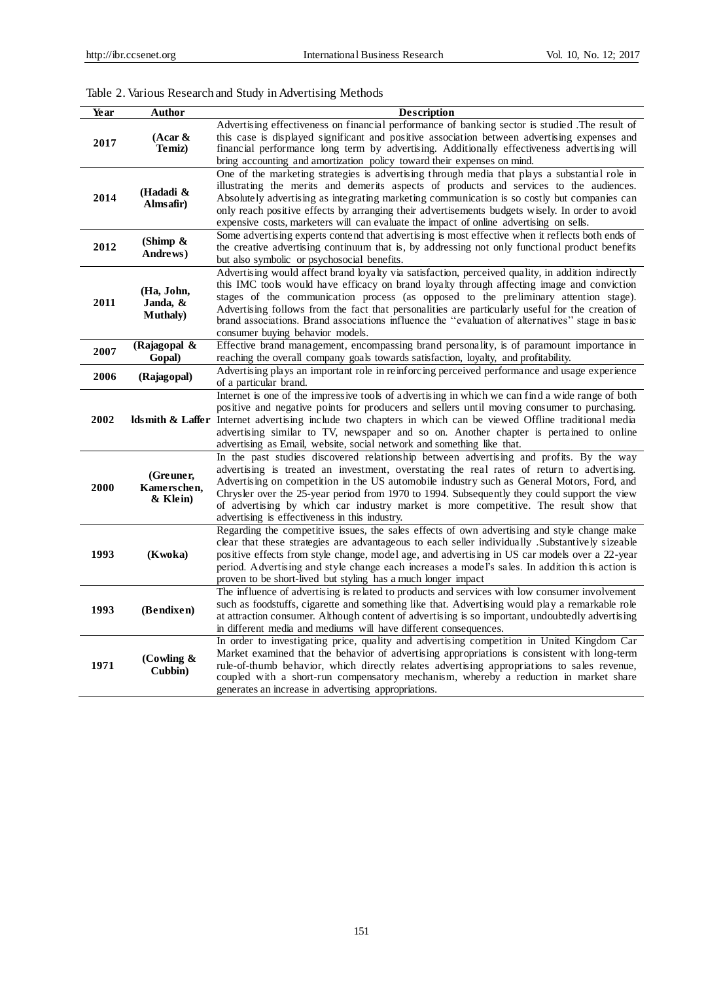# Table 2. Various Research and Study in Advertising Methods

| Year | Author                       | <b>Description</b>                                                                                                                                                                                 |
|------|------------------------------|----------------------------------------------------------------------------------------------------------------------------------------------------------------------------------------------------|
|      |                              | Advertising effectiveness on financial performance of banking sector is studied .The result of                                                                                                     |
| 2017 | $(Acar \&$                   | this case is displayed significant and positive association between advertising expenses and                                                                                                       |
|      | Temiz)                       | financial performance long term by advertising. Additionally effectiveness advertising will                                                                                                        |
|      |                              | bring accounting and amortization policy toward their expenses on mind.                                                                                                                            |
|      |                              | One of the marketing strategies is advertising through media that plays a substantial role in                                                                                                      |
|      | (Hadadi &                    | illustrating the merits and demerits aspects of products and services to the audiences.                                                                                                            |
| 2014 | Almsafir)                    | Absolutely advertising as integrating marketing communication is so costly but companies can                                                                                                       |
|      |                              | only reach positive effects by arranging their advertisements budgets wisely. In order to avoid<br>expensive costs, marketers will can evaluate the impact of online advertising on sells.         |
|      |                              | Some advertising experts contend that advertising is most effective when it reflects both ends of                                                                                                  |
| 2012 | (Shimp &                     | the creative advertising continuum that is, by addressing not only functional product benefits                                                                                                     |
|      | Andrews)                     | but also symbolic or psychosocial benefits.                                                                                                                                                        |
|      |                              | Advertising would affect brand loyalty via satisfaction, perceived quality, in addition indirectly                                                                                                 |
|      |                              | this IMC tools would have efficacy on brand loyalty through affecting image and conviction                                                                                                         |
| 2011 | (Ha, John,                   | stages of the communication process (as opposed to the preliminary attention stage).                                                                                                               |
|      | Janda, &<br><b>Muthaly</b> ) | Advertising follows from the fact that personalities are particularly useful for the creation of                                                                                                   |
|      |                              | brand associations. Brand associations influence the "evaluation of alternatives" stage in basic                                                                                                   |
|      |                              | consumer buying behavior models.                                                                                                                                                                   |
| 2007 | (Rajagopal &                 | Effective brand management, encompassing brand personality, is of paramount importance in                                                                                                          |
|      | Gopal)                       | reaching the overall company goals towards satisfaction, loyalty, and profitability.                                                                                                               |
| 2006 | (Rajagopal)                  | Advertising plays an important role in reinforcing perceived performance and usage experience                                                                                                      |
|      |                              | of a particular brand.                                                                                                                                                                             |
|      |                              | Internet is one of the impressive tools of advertising in which we can find a wide range of both<br>positive and negative points for producers and sellers until moving consumer to purchasing.    |
| 2002 |                              | ldsmith & Laffer Internet advertising include two chapters in which can be viewed Offline traditional media                                                                                        |
|      |                              | advertising similar to TV, newspaper and so on. Another chapter is pertained to online                                                                                                             |
|      |                              | advertising as Email, website, social network and something like that.                                                                                                                             |
|      |                              | In the past studies discovered relationship between advertising and profits. By the way                                                                                                            |
|      | (Greuner,                    | advertising is treated an investment, overstating the real rates of return to advertising.                                                                                                         |
| 2000 | Kamerschen,                  | Advertising on competition in the US automobile industry such as General Motors, Ford, and                                                                                                         |
|      | & Klein)                     | Chrysler over the 25-year period from 1970 to 1994. Subsequently they could support the view                                                                                                       |
|      |                              | of advertising by which car industry market is more competitive. The result show that                                                                                                              |
|      |                              | advertising is effectiveness in this industry.                                                                                                                                                     |
|      |                              | Regarding the competitive issues, the sales effects of own advertising and style change make                                                                                                       |
| 1993 | (Kwoka)                      | clear that these strategies are advantageous to each seller individually .Substantively sizeable<br>positive effects from style change, model age, and advertising in US car models over a 22-year |
|      |                              | period. A dvertising and style change each increases a model's sales. In addition this action is                                                                                                   |
|      |                              | proven to be short-lived but styling has a much longer impact                                                                                                                                      |
|      |                              | The influence of advertising is related to products and services with low consumer involvement                                                                                                     |
|      |                              | such as foodstuffs, cigarette and something like that. Advertising would play a remarkable role                                                                                                    |
| 1993 | (Bendixen)                   | at attraction consumer. Although content of advertising is so important, undoubtedly advertising                                                                                                   |
|      |                              | in different media and mediums will have different consequences.                                                                                                                                   |
|      |                              | In order to investigating price, quality and advertising competition in United Kingdom Car                                                                                                         |
|      | (Cowling &                   | Market examined that the behavior of advertising appropriations is consistent with long-term                                                                                                       |
| 1971 | Cubbin)                      | rule-of-thumb behavior, which directly relates advertising appropriations to sales revenue,                                                                                                        |
|      |                              | coupled with a short-run compensatory mechanism, whereby a reduction in market share                                                                                                               |
|      |                              | generates an increase in advertising appropriations.                                                                                                                                               |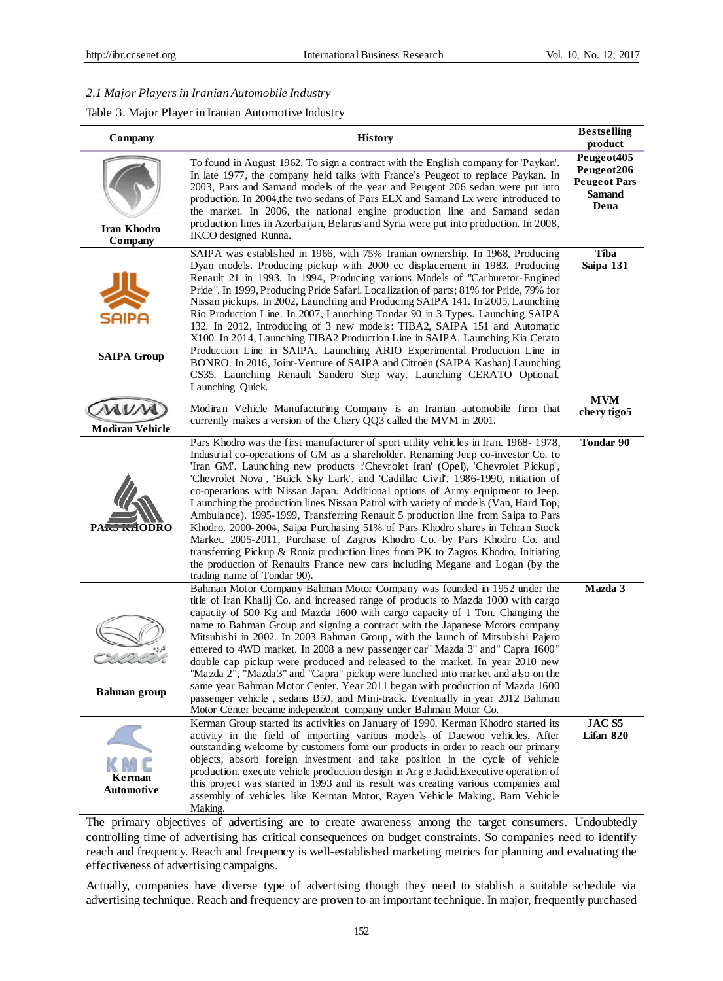## *2.1 Major Players in Iranian Automobile Industry*

# Table 3. Major Player in Iranian Automotive Industry

| Company                                | <b>History</b>                                                                                                                                                                                                                                                                                                                                                                                                                                                                                                                                                                                                                                                                                                                                                                                                                                                                                                                                                                  |                                                                            |  |  |
|----------------------------------------|---------------------------------------------------------------------------------------------------------------------------------------------------------------------------------------------------------------------------------------------------------------------------------------------------------------------------------------------------------------------------------------------------------------------------------------------------------------------------------------------------------------------------------------------------------------------------------------------------------------------------------------------------------------------------------------------------------------------------------------------------------------------------------------------------------------------------------------------------------------------------------------------------------------------------------------------------------------------------------|----------------------------------------------------------------------------|--|--|
| <b>Iran Khodro</b><br>Company          | To found in August 1962. To sign a contract with the English company for 'Paykan'.<br>In late 1977, the company held talks with France's Peugeot to replace Paykan. In<br>2003, Pars and Samand models of the year and Peugeot 206 sedan were put into<br>production. In 2004,the two sedans of Pars ELX and Samand Lx were introduced to<br>the market. In 2006, the national engine production line and Samand sedan<br>production lines in Azerbaijan, Belarus and Syria were put into production. In 2008,<br>IKCO designed Runna.                                                                                                                                                                                                                                                                                                                                                                                                                                          | Peuge ot 405<br>Peugeot206<br><b>Peugeot Pars</b><br><b>Samand</b><br>Dena |  |  |
| SAIPA<br><b>SAIPA Group</b>            | SAIPA was established in 1966, with 75% Iranian ownership. In 1968, Producing<br>Dyan models. Producing pickup with 2000 cc displacement in 1983. Producing<br>Renault 21 in 1993. In 1994, Producing various Models of "Carburetor-Engined<br>Pride". In 1999, Producing Pride Safari. Localization of parts; 81% for Pride, 79% for<br>Nissan pickups. In 2002, Launching and Producing SAIPA 141. In 2005, Launching<br>Rio Production Line. In 2007, Launching Tondar 90 in 3 Types. Launching SAIPA<br>132. In 2012, Introducing of 3 new models: TIBA2, SAIPA 151 and Automatic<br>X100. In 2014, Launching TIBA2 Production Line in SAIPA. Launching Kia Cerato<br>Production Line in SAIPA. Launching ARIO Experimental Production Line in<br>BONRO. In 2016, Joint-Venture of SAIPA and Citroën (SAIPA Kashan). Launching<br>CS35. Launching Renault Sandero Step way. Launching CERATO Optional.<br>Launching Quick.                                                  | <b>Tiba</b><br>Saipa 131                                                   |  |  |
| MUM<br><b>Modiran Vehicle</b>          | Modiran Vehicle Manufacturing Company is an Iranian automobile firm that<br>currently makes a version of the Chery QQ3 called the MVM in 2001.                                                                                                                                                                                                                                                                                                                                                                                                                                                                                                                                                                                                                                                                                                                                                                                                                                  | <b>MVM</b><br>chery tigo5                                                  |  |  |
| PA <sub>pry</sub> <sub>Ind</sub> IODRO | Pars Khodro was the first manufacturer of sport utility vehicles in Iran. 1968-1978,<br>Industrial co-operations of GM as a shareholder. Renaming Jeep co-investor Co. to<br>'Iran GM'. Launching new products :'Chevrolet Iran' (Opel), 'Chevrolet Pickup',<br>'Chevrolet Nova', 'Buick Sky Lark', and 'Cadillac Civil'. 1986-1990, nitiation of<br>co-operations with Nissan Japan. Additional options of Army equipment to Jeep.<br>Launching the production lines Nissan Patrol with variety of models (Van, Hard Top,<br>Ambulance). 1995-1999, Transferring Renault 5 production line from Saipa to Pars<br>Khodro. 2000-2004, Saipa Purchasing 51% of Pars Khodro shares in Tehran Stock<br>Market. 2005-2011, Purchase of Zagros Khodro Co. by Pars Khodro Co. and<br>transferring Pickup & Roniz production lines from PK to Zagros Khodro. Initiating<br>the production of Renaults France new cars including Megane and Logan (by the<br>trading name of Tondar 90). | <b>Tondar 90</b>                                                           |  |  |
| <b>Bahman</b> group                    | Bahman Motor Company Bahman Motor Company was founded in 1952 under the<br>title of Iran Khalij Co. and increased range of products to Mazda 1000 with cargo<br>capacity of 500 Kg and Mazda 1600 with cargo capacity of 1 Ton. Changing the<br>name to Bahman Group and signing a contract with the Japanese Motors company<br>Mitsubishi in 2002. In 2003 Bahman Group, with the launch of Mitsubishi Pajero<br>entered to 4WD market. In 2008 a new passenger car" Mazda 3" and" Capra 1600"<br>double cap pickup were produced and released to the market. In year 2010 new<br>'Mazda 2", "Mazda3" and "Capra" pickup were lunched into market and also on the<br>same year Bahman Motor Center. Year 2011 began with production of Mazda 1600<br>passenger vehicle, sedans B50, and Mini-track. Eventually in year 2012 Bahman<br>Motor Center became independent company under Bahman Motor Co.                                                                           | Mazda 3                                                                    |  |  |
| <b>Kerman</b><br>Automotive            | Kerman Group started its activities on January of 1990. Kerman Khodro started its<br>activity in the field of importing various models of Daewoo vehicles, After<br>outstanding welcome by customers form our products in order to reach our primary<br>objects, absorb foreign investment and take position in the cycle of vehicle<br>production, execute vehicle production design in Arg e Jadid. Executive operation of<br>this project was started in 1993 and its result was creating various companies and<br>assembly of vehicles like Kerman Motor, Rayen Vehicle Making, Bam Vehicle<br>Making.                                                                                                                                                                                                                                                                                                                                                                      | JAC <sub>S5</sub><br>Lifan 820                                             |  |  |

The primary objectives of advertising are to create awareness among the target consumers. Undoubtedly controlling time of advertising has critical consequences on budget constraints. So companies need to identify reach and frequency. Reach and frequency is well-established marketing metrics for planning and evaluating the effectiveness of advertising campaigns.

Actually, companies have diverse type of advertising though they need to stablish a suitable schedule via advertising technique. Reach and frequency are proven to an important technique. In major, frequently purchased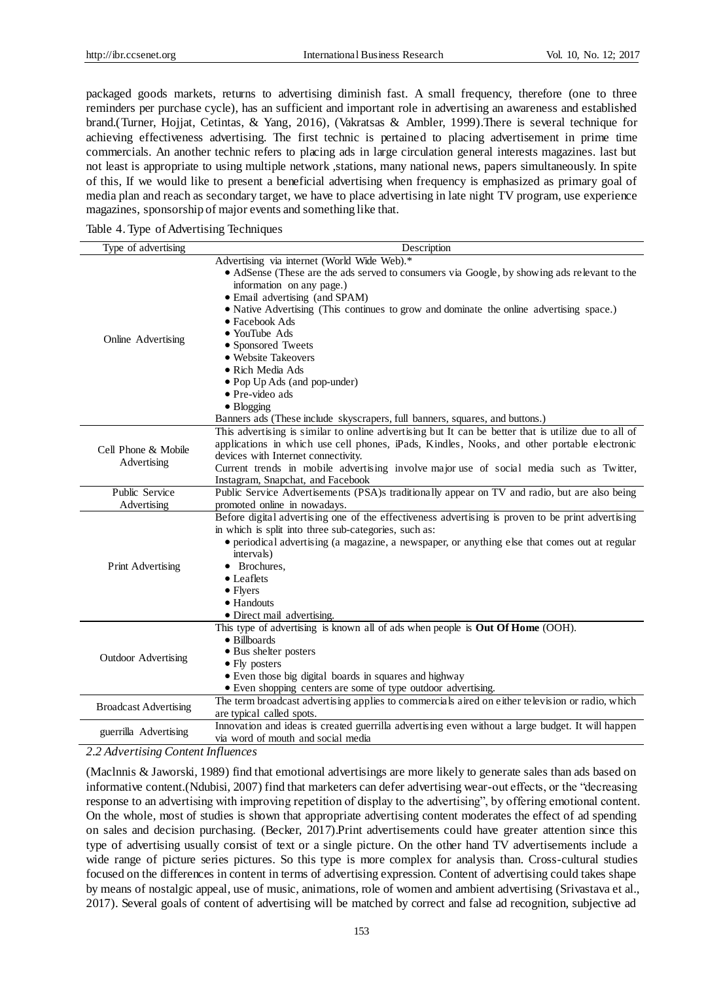packaged goods markets, returns to advertising diminish fast. A small frequency, therefore (one to three reminders per purchase cycle), has an sufficient and important role in advertising an awareness and established brand.(Turner, Hojjat, Cetintas, & Yang, 2016), (Vakratsas & Ambler, 1999).There is several technique for achieving effectiveness advertising. The first technic is pertained to placing advertisement in prime time commercials. An another technic refers to placing ads in large circulation general interests magazines. last but not least is appropriate to using multiple network ,stations, many national news, papers simultaneously. In spite of this, If we would like to present a beneficial advertising when frequency is emphasized as primary goal of media plan and reach as secondary target, we have to place advertising in late night TV program, use experience magazines, sponsorship of major events and something like that.

| Table 4. Type of Advertising Techniques |  |
|-----------------------------------------|--|
|                                         |  |

| Type of advertising          | Description                                                                                          |  |  |  |
|------------------------------|------------------------------------------------------------------------------------------------------|--|--|--|
|                              | Advertising via internet (World Wide Web).*                                                          |  |  |  |
|                              | • AdSense (These are the ads served to consumers via Google, by showing ads relevant to the          |  |  |  |
|                              | information on any page.)                                                                            |  |  |  |
|                              | • Email advertising (and SPAM)                                                                       |  |  |  |
|                              | • Native Advertising (This continues to grow and dominate the online advertising space.)             |  |  |  |
|                              | $\bullet$ Facebook Ads                                                                               |  |  |  |
|                              | • YouTube Ads                                                                                        |  |  |  |
| Online Advertising           | • Sponsored Tweets                                                                                   |  |  |  |
|                              | • Website Takeovers                                                                                  |  |  |  |
|                              | · Rich Media Ads                                                                                     |  |  |  |
|                              | • Pop Up Ads (and pop-under)                                                                         |  |  |  |
|                              | $\bullet$ Pre-video ads                                                                              |  |  |  |
|                              | $\bullet$ Blogging                                                                                   |  |  |  |
|                              | Banners ads (These include skyscrapers, full banners, squares, and buttons.)                         |  |  |  |
|                              | This advertising is similar to online advertising but It can be better that is utilize due to all of |  |  |  |
|                              | applications in which use cell phones, iPads, Kindles, Nooks, and other portable electronic          |  |  |  |
| Cell Phone & Mobile          | devices with Internet connectivity.                                                                  |  |  |  |
| Advertising                  | Current trends in mobile advertising involve major use of social media such as Twitter,              |  |  |  |
|                              | Instagram, Snapchat, and Facebook                                                                    |  |  |  |
| Public Service               | Public Service Advertisements (PSA)s traditionally appear on TV and radio, but are also being        |  |  |  |
| Advertising                  | promoted online in nowadays.                                                                         |  |  |  |
|                              | Before digital advertising one of the effectiveness advertising is proven to be print advertising    |  |  |  |
|                              | in which is split into three sub-categories, such as:                                                |  |  |  |
|                              | • periodical advertising (a magazine, a newspaper, or anything else that comes out at regular        |  |  |  |
|                              | intervals)                                                                                           |  |  |  |
| Print Advertising            | • Brochures.                                                                                         |  |  |  |
|                              | • Leaflets                                                                                           |  |  |  |
|                              | $\bullet$ Flyers                                                                                     |  |  |  |
|                              | $\bullet$ Handouts                                                                                   |  |  |  |
|                              | • Direct mail advertising.                                                                           |  |  |  |
|                              | This type of advertising is known all of ads when people is Out Of Home (OOH).                       |  |  |  |
|                              | • Billboards                                                                                         |  |  |  |
| Outdoor Advertising          | • Bus shelter posters                                                                                |  |  |  |
|                              | $\bullet$ Fly posters                                                                                |  |  |  |
|                              | • Even those big digital boards in squares and highway                                               |  |  |  |
|                              | • Even shopping centers are some of type outdoor advertising.                                        |  |  |  |
| <b>Broadcast Advertising</b> | The term broadcast advertising applies to commercials aired on either television or radio, which     |  |  |  |
|                              | are typical called spots.                                                                            |  |  |  |
| guerrilla Advertising        | Innovation and ideas is created guerrilla advertising even without a large budget. It will happen    |  |  |  |
|                              | via word of mouth and social media                                                                   |  |  |  |

*2.2 Advertising Content Influences*

(Maclnnis & Jaworski, 1989) find that emotional advertisings are more likely to generate sales than ads based on informative content.(Ndubisi, 2007) find that marketers can defer advertising wear-out effects, or the "decreasing response to an advertising with improving repetition of display to the advertising", by offering emotional content. On the whole, most of studies is shown that appropriate advertising content moderates the effect of ad spending on sales and decision purchasing. (Becker, 2017).Print advertisements could have greater attention since this type of advertising usually consist of text or a single picture. On the other hand TV advertisements include a wide range of picture series pictures. So this type is more complex for analysis than. Cross-cultural studies focused on the differences in content in terms of advertising expression. Content of advertising could takes shape by means of nostalgic appeal, use of music, animations, role of women and ambient advertising (Srivastava et al., 2017). Several goals of content of advertising will be matched by correct and false ad recognition, subjective ad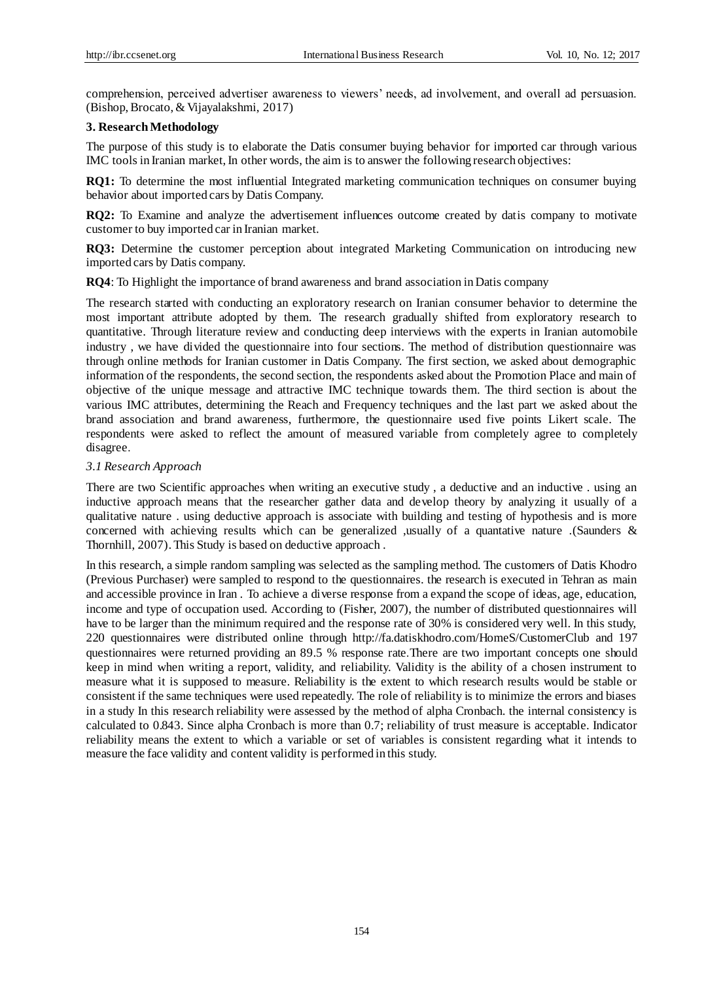comprehension, perceived advertiser awareness to viewers' needs, ad involvement, and overall ad persuasion. (Bishop, Brocato, & Vijayalakshmi, 2017)

#### **3. Research Methodology**

The purpose of this study is to elaborate the Datis consumer buying behavior for imported car through various IMC tools in Iranian market, In other words, the aim is to answer the following research objectives:

**RQ1:** To determine the most influential Integrated marketing communication techniques on consumer buying behavior about imported cars by Datis Company.

**RQ2:** To Examine and analyze the advertisement influences outcome created by datis company to motivate customer to buy imported car in Iranian market.

**RQ3:** Determine the customer perception about integrated Marketing Communication on introducing new imported cars by Datis company.

**RQ4**: To Highlight the importance of brand awareness and brand association in Datis company

The research started with conducting an exploratory research on Iranian consumer behavior to determine the most important attribute adopted by them. The research gradually shifted from exploratory research to quantitative. Through literature review and conducting deep interviews with the experts in Iranian automobile industry , we have divided the questionnaire into four sections. The method of distribution questionnaire was through online methods for Iranian customer in Datis Company. The first section, we asked about demographic information of the respondents, the second section, the respondents asked about the Promotion Place and main of objective of the unique message and attractive IMC technique towards them. The third section is about the various IMC attributes, determining the Reach and Frequency techniques and the last part we asked about the brand association and brand awareness, furthermore, the questionnaire used five points Likert scale. The respondents were asked to reflect the amount of measured variable from completely agree to completely disagree.

#### *3.1 Research Approach*

There are two Scientific approaches when writing an executive study , a deductive and an inductive . using an inductive approach means that the researcher gather data and develop theory by analyzing it usually of a qualitative nature . using deductive approach is associate with building and testing of hypothesis and is more concerned with achieving results which can be generalized ,usually of a quantative nature .(Saunders & Thornhill, 2007). This Study is based on deductive approach .

In this research, a simple random sampling was selected as the sampling method. The customers of Datis Khodro (Previous Purchaser) were sampled to respond to the questionnaires. the research is executed in Tehran as main and accessible province in Iran . To achieve a diverse response from a expand the scope of ideas, age, education, income and type of occupation used. According to (Fisher, 2007), the number of distributed questionnaires will have to be larger than the minimum required and the response rate of 30% is considered very well. In this study, 220 questionnaires were distributed online through http://fa.datiskhodro.com/HomeS/CustomerClub and 197 questionnaires were returned providing an 89.5 % response rate.There are two important concepts one should keep in mind when writing a report, validity, and reliability. Validity is the ability of a chosen instrument to measure what it is supposed to measure. Reliability is the extent to which research results would be stable or consistent if the same techniques were used repeatedly. The role of reliability is to minimize the errors and biases in a study In this research reliability were assessed by the method of alpha Cronbach. the internal consistency is calculated to 0.843. Since alpha Cronbach is more than 0.7; reliability of trust measure is acceptable. Indicator reliability means the extent to which a variable or set of variables is consistent regarding what it intends to measure the face validity and content validity is performed in this study.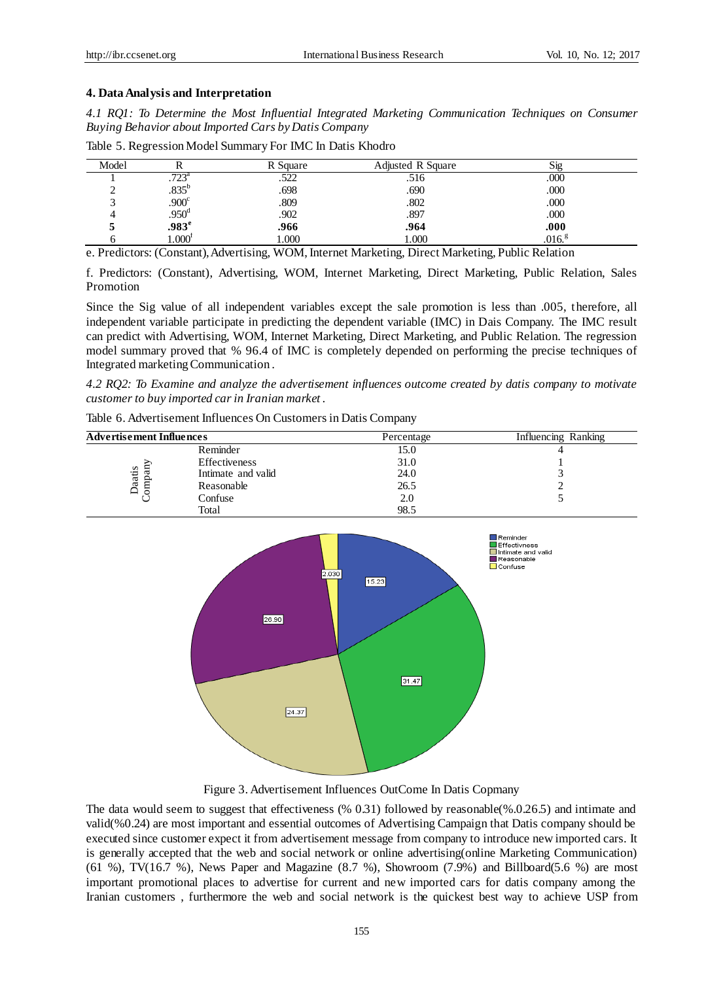#### **4. Data Analysis and Interpretation**

*4.1 RQ1: To Determine the Most Influential Integrated Marketing Communication Techniques on Consumer Buying Behavior about Imported Cars by Datis Company*

| Model |                   | R Square | <b>Adjusted R Square</b> | <b>S</b> 12       |
|-------|-------------------|----------|--------------------------|-------------------|
|       | $.723^{\circ}$    | ىتىت     | .516                     | .000              |
|       | $.835^b$          | .698     | .690                     | .000              |
|       | .900 <sup>c</sup> | .809     | .802                     | .000              |
|       | .950 <sup>d</sup> | .902     | .897                     | .000              |
|       | .983 <sup>e</sup> | .966     | .964                     | .000              |
|       | $1.000^{\rm r}$   | 1.000    | 1.000                    | .016 <sup>g</sup> |

Table 5. Regression Model Summary For IMC In Datis Khodro

e. Predictors: (Constant), Advertising, WOM, Internet Marketing, Direct Marketing, Public Relation

f. Predictors: (Constant), Advertising, WOM, Internet Marketing, Direct Marketing, Public Relation, Sales Promotion

Since the Sig value of all independent variables except the sale promotion is less than .005, therefore, all independent variable participate in predicting the dependent variable (IMC) in Dais Company. The IMC result can predict with Advertising, WOM, Internet Marketing, Direct Marketing, and Public Relation. The regression model summary proved that % 96.4 of IMC is completely depended on performing the precise techniques of Integrated marketing Communication .

*4.2 RQ2: To Examine and analyze the advertisement influences outcome created by datis company to motivate customer to buy imported car in Iranian market .*

| <b>Advertisement Influences</b> |                    | Percentage | Influencing Ranking |
|---------------------------------|--------------------|------------|---------------------|
|                                 | Reminder           | 15.0       |                     |
| aatis<br>ਫ਼<br>omp<br>$\Box$    | Effectiveness      | 31.0       |                     |
|                                 | Intimate and valid | 24.0       |                     |
|                                 | Reasonable         | 26.5       |                     |
|                                 | Confuse            | 2.0        |                     |
|                                 | Total              | 98.5       |                     |

Table 6. Advertisement Influences On Customers in Datis Company



Figure 3. Advertisement Influences OutCome In Datis Copmany

The data would seem to suggest that effectiveness (% 0.31) followed by reasonable(%.0.26.5) and intimate and valid(%0.24) are most important and essential outcomes of Advertising Campaign that Datis company should be executed since customer expect it from advertisement message from company to introduce new imported cars. It is generally accepted that the web and social network or online advertising(online Marketing Communication) (61 %), TV(16.7 %), News Paper and Magazine  $(8.7 \%)$ , Showroom  $(7.9\%)$  and Billboard(5.6 %) are most important promotional places to advertise for current and new imported cars for datis company among the Iranian customers , furthermore the web and social network is the quickest best way to achieve USP from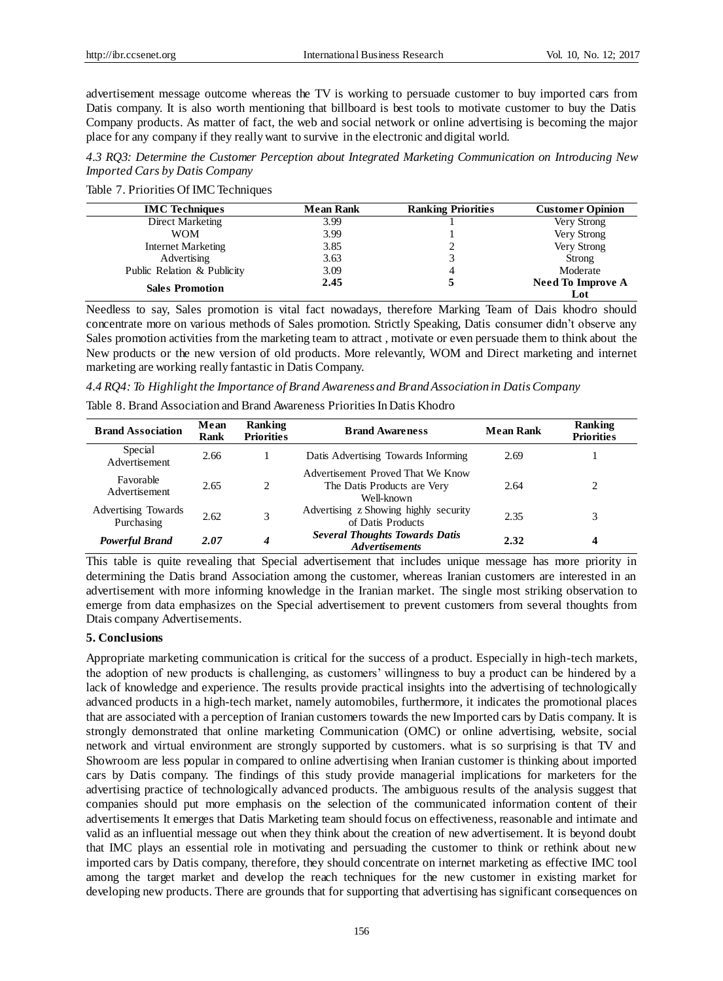advertisement message outcome whereas the TV is working to persuade customer to buy imported cars from Datis company. It is also worth mentioning that billboard is best tools to motivate customer to buy the Datis Company products. As matter of fact, the web and social network or online advertising is becoming the major place for any company if they really want to survive in the electronic and digital world.

*4.3 RQ3: Determine the Customer Perception about Integrated Marketing Communication on Introducing New Imported Cars by Datis Company*

Table 7. Priorities Of IMC Techniques

| <b>IMC</b> Techniques       | <b>Mean Rank</b> | <b>Ranking Priorities</b> | <b>Customer Opinion</b>         |
|-----------------------------|------------------|---------------------------|---------------------------------|
| Direct Marketing            | 3.99             |                           | Very Strong                     |
| <b>WOM</b>                  | 3.99             |                           | Very Strong                     |
| <b>Internet Marketing</b>   | 3.85             |                           | Very Strong                     |
| Advertising                 | 3.63             |                           | Strong                          |
| Public Relation & Publicity | 3.09             |                           | Moderate                        |
| <b>Sales Promotion</b>      | 2.45             |                           | <b>Need To Improve A</b><br>Lot |

Needless to say, Sales promotion is vital fact nowadays, therefore Marking Team of Dais khodro should concentrate more on various methods of Sales promotion. Strictly Speaking, Datis consumer didn't observe any Sales promotion activities from the marketing team to attract , motivate or even persuade them to think about the New products or the new version of old products. More relevantly, WOM and Direct marketing and internet marketing are working really fantastic in Datis Company.

*4.4 RQ4: To Highlight the Importance of Brand Awareness and Brand Association in Datis Company* 

Table 8. Brand Association and Brand Awareness Priorities In Datis Khodro

| <b>Brand Association</b>          | Mean<br>Rank | Ranking<br><b>Priorities</b> | <b>Brand Awareness</b>                                                         | <b>Mean Rank</b> | Ranking<br><b>Priorities</b> |
|-----------------------------------|--------------|------------------------------|--------------------------------------------------------------------------------|------------------|------------------------------|
| Special<br>Advertisement          | 2.66         |                              | Datis Advertising Towards Informing                                            | 2.69             |                              |
| Favorable<br>Advertisement        | 2.65         | 2                            | Advertisement Proved That We Know<br>The Datis Products are Very<br>Well-known | 2.64             |                              |
| Advertising Towards<br>Purchasing | 2.62         | 3                            | Advertising z Showing highly security<br>of Datis Products                     | 2.35             |                              |
| <b>Powerful Brand</b>             | 2.07         | 4                            | <b>Several Thoughts Towards Datis</b><br><b>Advertisements</b>                 | 2.32             | 4                            |

This table is quite revealing that Special advertisement that includes unique message has more priority in determining the Datis brand Association among the customer, whereas Iranian customers are interested in an advertisement with more informing knowledge in the Iranian market. The single most striking observation to emerge from data emphasizes on the Special advertisement to prevent customers from several thoughts from Dtais company Advertisements.

#### **5. Conclusions**

Appropriate marketing communication is critical for the success of a product. Especially in high-tech markets, the adoption of new products is challenging, as customers' willingness to buy a product can be hindered by a lack of knowledge and experience. The results provide practical insights into the advertising of technologically advanced products in a high-tech market, namely automobiles, furthermore, it indicates the promotional places that are associated with a perception of Iranian customers towards the new Imported cars by Datis company. It is strongly demonstrated that online marketing Communication (OMC) or online advertising, website, social network and virtual environment are strongly supported by customers. what is so surprising is that TV and Showroom are less popular in compared to online advertising when Iranian customer is thinking about imported cars by Datis company. The findings of this study provide managerial implications for marketers for the advertising practice of technologically advanced products. The ambiguous results of the analysis suggest that companies should put more emphasis on the selection of the communicated information content of their advertisements It emerges that Datis Marketing team should focus on effectiveness, reasonable and intimate and valid as an influential message out when they think about the creation of new advertisement. It is beyond doubt that IMC plays an essential role in motivating and persuading the customer to think or rethink about new imported cars by Datis company, therefore, they should concentrate on internet marketing as effective IMC tool among the target market and develop the reach techniques for the new customer in existing market for developing new products. There are grounds that for supporting that advertising has significant consequences on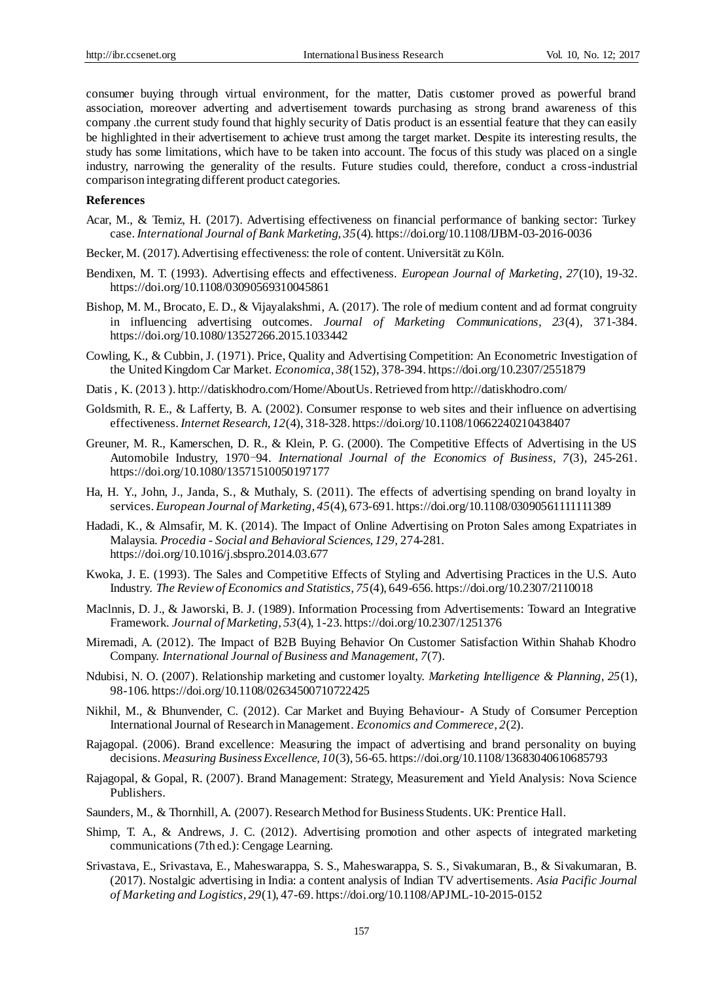consumer buying through virtual environment, for the matter, Datis customer proved as powerful brand association, moreover adverting and advertisement towards purchasing as strong brand awareness of this company .the current study found that highly security of Datis product is an essential feature that they can easily be highlighted in their advertisement to achieve trust among the target market. Despite its interesting results, the study has some limitations, which have to be taken into account. The focus of this study was placed on a single industry, narrowing the generality of the results. Future studies could, therefore, conduct a cross-industrial comparison integrating different product categories.

#### **References**

- Acar, M., & Temiz, H. (2017). Advertising effectiveness on financial performance of banking sector: Turkey case. *International Journal of Bank Marketing, 35*(4). https://doi.org/10.1108/IJBM-03-2016-0036
- Becker, M. (2017). Advertising effectiveness: the role of content. Universit ä zu Köln.
- Bendixen, M. T. (1993). Advertising effects and effectiveness. *European Journal of Marketing, 27*(10), 19-32. https://doi.org/10.1108/03090569310045861
- Bishop, M. M., Brocato, E. D., & Vijayalakshmi, A. (2017). The role of medium content and ad format congruity in influencing advertising outcomes. *Journal of Marketing Communications, 23*(4), 371-384. https://doi.org/10.1080/13527266.2015.1033442
- Cowling, K., & Cubbin, J. (1971). Price, Quality and Advertising Competition: An Econometric Investigation of the United Kingdom Car Market. *Economica, 38*(152), 378-394. https://doi.org/10.2307/2551879
- Datis , K. (2013)[. http://datiskhodro.com/Home/AboutUs.](http://datiskhodro.com/Home/AboutUs) Retrieved fro[m http://datiskhodro.com/](http://datiskhodro.com/)
- Goldsmith, R. E., & Lafferty, B. A. (2002). Consumer response to web sites and their influence on advertising effectiveness. *Internet Research, 12*(4), 318-328. https://doi.org/10.1108/10662240210438407
- Greuner, M. R., Kamerschen, D. R., & Klein, P. G. (2000). The Competitive Effects of Advertising in the US Automobile Industry, 1970-94. *International Journal of the Economics of Business, 7*(3), 245-261. https://doi.org/10.1080/13571510050197177
- Ha, H. Y., John, J., Janda, S., & Muthaly, S. (2011). The effects of advertising spending on brand loyalty in services. *European Journal of Marketing, 45*(4), 673-691. https://doi.org/10.1108/03090561111111389
- Hadadi, K., & Almsafir, M. K. (2014). The Impact of Online Advertising on Proton Sales among Expatriates in Malaysia. *Procedia - Social and Behavioral Sciences, 129,* 274-281. https://doi.org/10.1016/j.sbspro.2014.03.677
- Kwoka, J. E. (1993). The Sales and Competitive Effects of Styling and Advertising Practices in the U.S. Auto Industry. *The Review of Economics and Statistics, 75*(4), 649-656. https://doi.org/10.2307/2110018
- Maclnnis, D. J., & Jaworski, B. J. (1989). Information Processing from Advertisements: Toward an Integrative Framework. *Journal of Marketing, 53*(4), 1-23. https://doi.org/10.2307/1251376
- Miremadi, A. (2012). The Impact of B2B Buying Behavior On Customer Satisfaction Within Shahab Khodro Company. *International Journal of Business and Management, 7*(7).
- Ndubisi, N. O. (2007). Relationship marketing and customer loyalty. *Marketing Intelligence & Planning, 25*(1), 98-106. https://doi.org/10.1108/02634500710722425
- Nikhil, M., & Bhunvender, C. (2012). Car Market and Buying Behaviour- A Study of Consumer Perception International Journal of Research in Management. *Economics and Commerece, 2*(2).
- Rajagopal. (2006). Brand excellence: Measuring the impact of advertising and brand personality on buying decisions. *Measuring Business Excellence, 10*(3), 56-65. https://doi.org/10.1108/13683040610685793
- Rajagopal, & Gopal, R. (2007). Brand Management: Strategy, Measurement and Yield Analysis: Nova Science Publishers.
- Saunders, M., & Thornhill, A. (2007). Research Method for Business Students. UK: Prentice Hall.
- Shimp, T. A., & Andrews, J. C. (2012). Advertising promotion and other aspects of integrated marketing communications (7th ed.): Cengage Learning.
- Srivastava, E., Srivastava, E., Maheswarappa, S. S., Maheswarappa, S. S., Sivakumaran, B., & Sivakumaran, B. (2017). Nostalgic advertising in India: a content analysis of Indian TV advertisements. *Asia Pacific Journal of Marketing and Logistics, 29*(1), 47-69. https://doi.org/10.1108/APJML-10-2015-0152